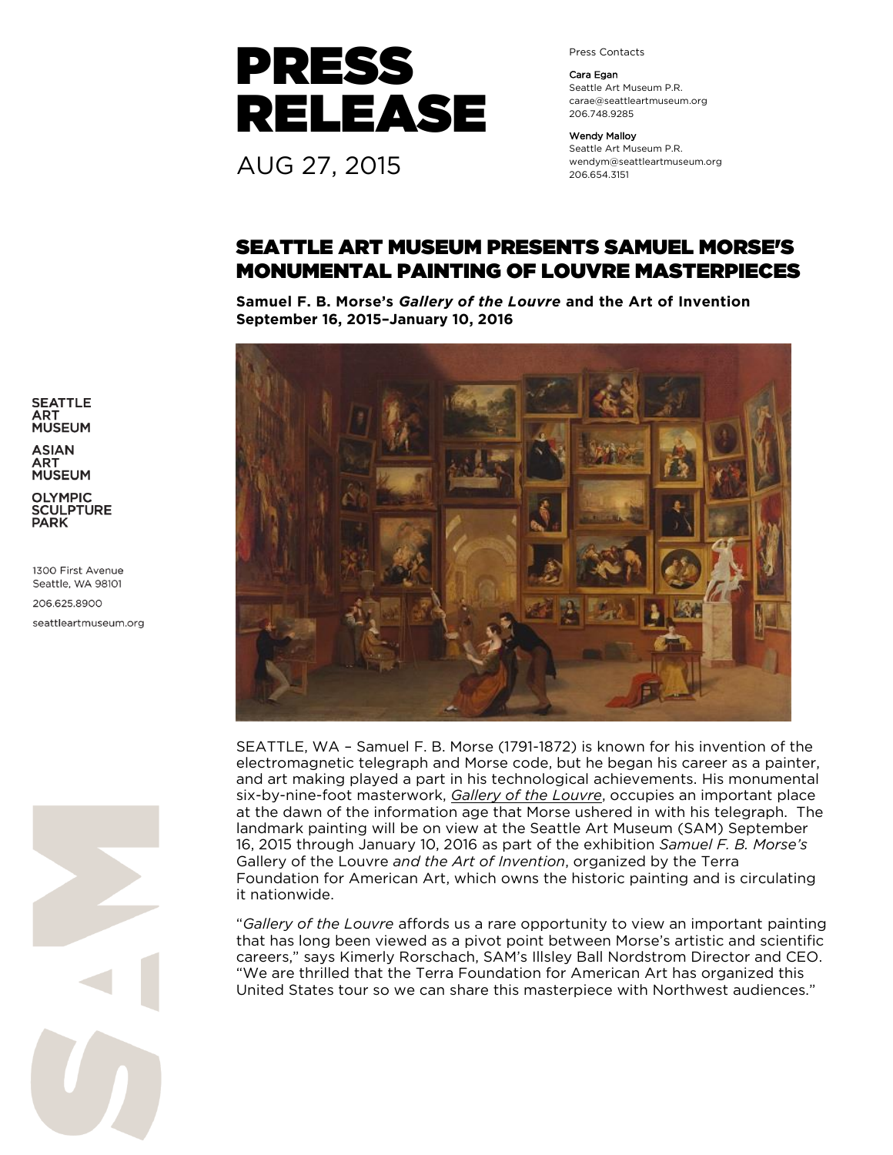PRESS RELEASE

AUG 27, 2015

Press Contacts

Cara Egan Seattle Art Museum P.R. carae@seattleartmuseum.org 206.748.9285

Wendy Malloy Seattle Art Museum P.R. wendym@seattleartmuseum.org 206.654.3151

# SEATTLE ART MUSEUM PRESENTS SAMUEL MORSE'S MONUMENTAL PAINTING OF LOUVRE MASTERPIECES

**Samuel F. B. Morse's** *Gallery of the Louvre* **and the Art of Invention September 16, 2015–January 10, 2016**



SEATTLE, WA – Samuel F. B. Morse (1791-1872) is known for his invention of the electromagnetic telegraph and Morse code, but he began his career as a painter, and art making played a part in his technological achievements. His monumental six-by-nine-foot masterwork, *[Gallery of the Louvre](http://www.seattleartmuseum.org/Exhibitions/Details?EventId=27988)*, occupies an important place at the dawn of the information age that Morse ushered in with his telegraph. The landmark painting will be on view at the Seattle Art Museum (SAM) September 16, 2015 through January 10, 2016 as part of the exhibition *Samuel F. B. Morse's*  Gallery of the Louvre *and the Art of Invention*, organized by the Terra Foundation for American Art, which owns the historic painting and is circulating it nationwide.

"*Gallery of the Louvre* affords us a rare opportunity to view an important painting that has long been viewed as a pivot point between Morse's artistic and scientific careers," says Kimerly Rorschach, SAM's Illsley Ball Nordstrom Director and CEO. "We are thrilled that the Terra Foundation for American Art has organized this United States tour so we can share this masterpiece with Northwest audiences."

**SEATTLE ART MUSEUM** 

**ASIAN** ART **MUSEUM** 

### **OLYMPIC SCULPTURE PARK**

1300 First Avenue Seattle WA 98101 206.625.8900 seattleartmuseum.org

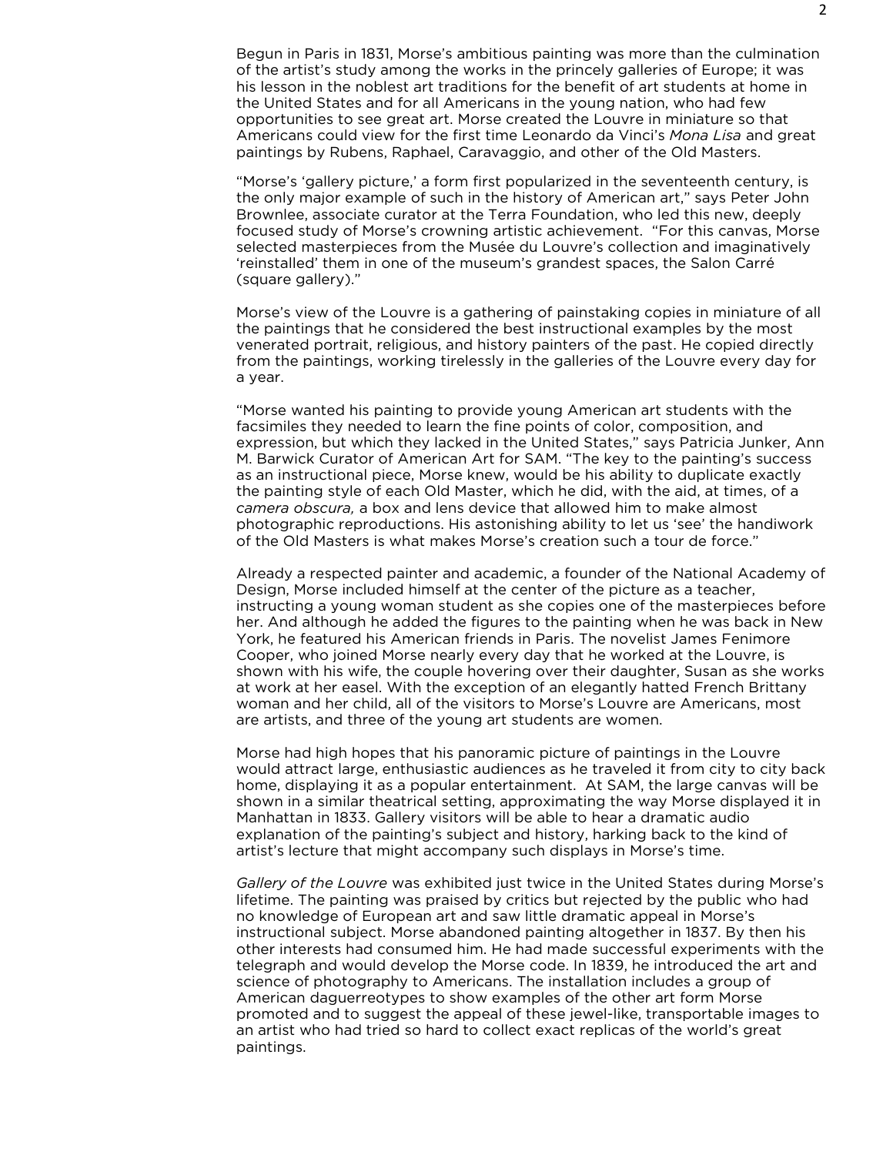Begun in Paris in 1831, Morse's ambitious painting was more than the culmination of the artist's study among the works in the princely galleries of Europe; it was his lesson in the noblest art traditions for the benefit of art students at home in the United States and for all Americans in the young nation, who had few opportunities to see great art. Morse created the Louvre in miniature so that Americans could view for the first time Leonardo da Vinci's *Mona Lisa* and great paintings by Rubens, Raphael, Caravaggio, and other of the Old Masters.

"Morse's 'gallery picture,' a form first popularized in the seventeenth century, is the only major example of such in the history of American art," says Peter John Brownlee, associate curator at the Terra Foundation, who led this new, deeply focused study of Morse's crowning artistic achievement. "For this canvas, Morse selected masterpieces from the Musée du Louvre's collection and imaginatively 'reinstalled' them in one of the museum's grandest spaces, the Salon Carré (square gallery)."

Morse's view of the Louvre is a gathering of painstaking copies in miniature of all the paintings that he considered the best instructional examples by the most venerated portrait, religious, and history painters of the past. He copied directly from the paintings, working tirelessly in the galleries of the Louvre every day for a year.

"Morse wanted his painting to provide young American art students with the facsimiles they needed to learn the fine points of color, composition, and expression, but which they lacked in the United States," says Patricia Junker, Ann M. Barwick Curator of American Art for SAM. "The key to the painting's success as an instructional piece, Morse knew, would be his ability to duplicate exactly the painting style of each Old Master, which he did, with the aid, at times, of a *camera obscura,* a box and lens device that allowed him to make almost photographic reproductions. His astonishing ability to let us 'see' the handiwork of the Old Masters is what makes Morse's creation such a tour de force."

Already a respected painter and academic, a founder of the National Academy of Design, Morse included himself at the center of the picture as a teacher, instructing a young woman student as she copies one of the masterpieces before her. And although he added the figures to the painting when he was back in New York, he featured his American friends in Paris. The novelist James Fenimore Cooper, who joined Morse nearly every day that he worked at the Louvre, is shown with his wife, the couple hovering over their daughter, Susan as she works at work at her easel. With the exception of an elegantly hatted French Brittany woman and her child, all of the visitors to Morse's Louvre are Americans, most are artists, and three of the young art students are women.

Morse had high hopes that his panoramic picture of paintings in the Louvre would attract large, enthusiastic audiences as he traveled it from city to city back home, displaying it as a popular entertainment. At SAM, the large canvas will be shown in a similar theatrical setting, approximating the way Morse displayed it in Manhattan in 1833. Gallery visitors will be able to hear a dramatic audio explanation of the painting's subject and history, harking back to the kind of artist's lecture that might accompany such displays in Morse's time.

*Gallery of the Louvre* was exhibited just twice in the United States during Morse's lifetime. The painting was praised by critics but rejected by the public who had no knowledge of European art and saw little dramatic appeal in Morse's instructional subject. Morse abandoned painting altogether in 1837. By then his other interests had consumed him. He had made successful experiments with the telegraph and would develop the Morse code. In 1839, he introduced the art and science of photography to Americans. The installation includes a group of American daguerreotypes to show examples of the other art form Morse promoted and to suggest the appeal of these jewel-like, transportable images to an artist who had tried so hard to collect exact replicas of the world's great paintings.